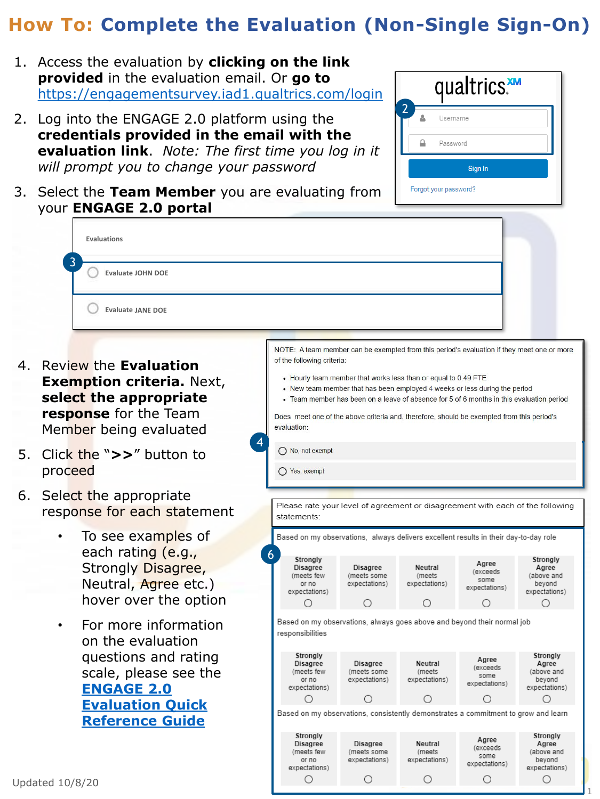- 1. Access the evaluation by **clicking on the link provided** in the evaluation email. Or **go to** <https://engagementsurvey.iad1.qualtrics.com/login>
- 2. Log into the ENGAGE 2.0 platform using the **credentials provided in the email with the evaluation link**. *Note: The first time you log in it will prompt you to change your password*
- 3. Select the **Team Member** you are evaluating from your **ENGAGE 2.0 portal**

|   | 1. Access the evaluation by <b>clicking on the link</b><br>provided in the evaluation email. Or go to<br>https://engagementsurvey.iad1.gualtrics.com/login                                    | qualtrics.                      |
|---|-----------------------------------------------------------------------------------------------------------------------------------------------------------------------------------------------|---------------------------------|
|   | 2. Log into the ENGAGE 2.0 platform using the<br>credentials provided in the email with the<br>evaluation link. Note: The first time you log in it<br>will prompt you to change your password | Username<br>Password<br>Sign In |
|   |                                                                                                                                                                                               |                                 |
|   | 3. Select the Team Member you are evaluating from<br>your ENGAGE 2.0 portal                                                                                                                   | Forgot your password?           |
| 3 | Evaluations<br><b>Evaluate JOHN DOE</b>                                                                                                                                                       |                                 |

expectations)

О

O

- 4. Review the **Evaluation Exemption criteria.** Next, **select the appropriate response** for the Team Member being evaluated
- 5. Click the "**>>**" button to proceed
- 6. Select the appropriate response for each statement
	- To see examples of each rating (e.g., Strongly Disagree, Neutral, Agree etc.) hover over the option
	- For more information on the evaluation questions and rating scale, please see the **ENGAGE 2.0 [Evaluation Quick](https://engage2.mo.gov/wp-content/uploads/2020/02/3.-ENGAGE-2.0_Evaluation-Quick-Reference-Guide_122419_vF.pdf) Reference Guide**



Ο

Ο

1

expectations)

 $\bigcirc$